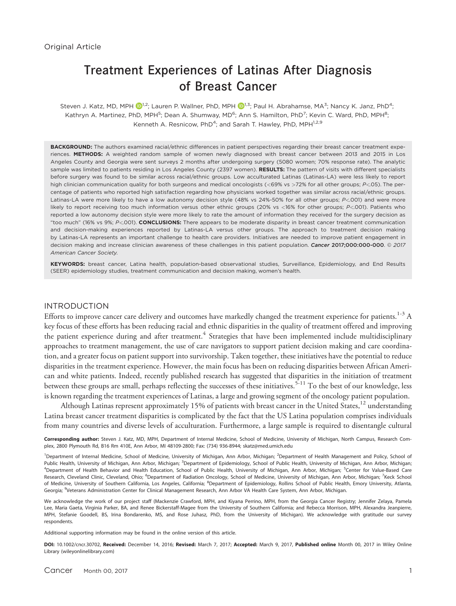# Treatment Experiences of Latinas After Diagnosis of Breast Cancer

Steven J. Katz, MD, MPH  $\mathbb{D}^{1,2}$ ; Lauren P. Wallner, PhD, MPH  $\mathbb{D}^{1,3}$ ; Paul H. Abrahamse, MA $^3$ ; Nancy K. Janz, PhD $^4$ ; Kathryn A. Martinez, PhD, MPH<sup>5</sup>; Dean A. Shumway, MD<sup>6</sup>; Ann S. Hamilton, PhD<sup>7</sup>; Kevin C. Ward, PhD, MPH<sup>8</sup>; Kenneth A. Resnicow, PhD<sup>4</sup>; and Sarah T. Hawley, PhD, MPH<sup>1,2,9</sup>

BACKGROUND: The authors examined racial/ethnic differences in patient perspectives regarding their breast cancer treatment experiences. METHODS: A weighted random sample of women newly diagnosed with breast cancer between 2013 and 2015 in Los Angeles County and Georgia were sent surveys 2 months after undergoing surgery (5080 women; 70% response rate). The analytic sample was limited to patients residing in Los Angeles County (2397 women). RESULTS: The pattern of visits with different specialists before surgery was found to be similar across racial/ethnic groups. Low acculturated Latinas (Latinas-LA) were less likely to report high clinician communication quality for both surgeons and medical oncologists (<69% vs >72% for all other groups; P<.05). The percentage of patients who reported high satisfaction regarding how physicians worked together was similar across racial/ethnic groups. Latinas-LA were more likely to have a low autonomy decision style (48% vs 24%-50% for all other groups; P<.001) and were more likely to report receiving too much information versus other ethnic groups (20% vs <16% for other groups; P<.001). Patients who reported a low autonomy decision style were more likely to rate the amount of information they received for the surgery decision as "too much" (16% vs 9%; P<.001). CONCLUSIONS: There appears to be moderate disparity in breast cancer treatment communication and decision-making experiences reported by Latinas-LA versus other groups. The approach to treatment decision making by Latinas-LA represents an important challenge to health care providers. Initiatives are needed to improve patient engagement in decision making and increase clinician awareness of these challenges in this patient population. Cancer 2017;000:000-000. @ 2017 American Cancer Society.

KEYWORDS: breast cancer, Latina health, population-based observational studies, Surveillance, Epidemiology, and End Results (SEER) epidemiology studies, treatment communication and decision making, women's health.

## INTRODUCTION

Efforts to improve cancer care delivery and outcomes have markedly changed the treatment experience for patients.<sup>1-3</sup> A key focus of these efforts has been reducing racial and ethnic disparities in the quality of treatment offered and improving the patient experience during and after treatment.<sup>4</sup> Strategies that have been implemented include multidisciplinary approaches to treatment management, the use of care navigators to support patient decision making and care coordination, and a greater focus on patient support into survivorship. Taken together, these initiatives have the potential to reduce disparities in the treatment experience. However, the main focus has been on reducing disparities between African American and white patients. Indeed, recently published research has suggested that disparities in the initiation of treatment between these groups are small, perhaps reflecting the successes of these initiatives.<sup>5-11</sup> To the best of our knowledge, less is known regarding the treatment experiences of Latinas, a large and growing segment of the oncology patient population.

Although Latinas represent approximately 15% of patients with breast cancer in the United States,<sup>12</sup> understanding Latina breast cancer treatment disparities is complicated by the fact that the US Latina population comprises individuals from many countries and diverse levels of acculturation. Furthermore, a large sample is required to disentangle cultural

Corresponding author: Steven J. Katz, MD, MPH, Department of Internal Medicine, School of Medicine, University of Michigan, North Campus, Research Complex, 2800 Plymouth Rd, B16 Rm 410E, Ann Arbor, MI 48109-2800; Fax: (734) 936-8944; skatz@med.umich.edu

<sup>1</sup>Department of Internal Medicine, School of Medicine, University of Michigan, Ann Arbor, Michigan; <sup>2</sup>Department of Health Management and Policy, School of Public Health, University of Michigan, Ann Arbor, Michigan; <sup>3</sup>Department of Epidemiology, School of Public Health, University of Michigan, Ann Arbor, Michigan; <sup>4</sup>Department of Health Behavior and Health Education, School of Public Health, University of Michigan, Ann Arbor, Michigan; <sup>5</sup>Center for Value-Based Care Research, Cleveland Clinic, Cleveland, Ohio; <sup>6</sup>Department of Radiation Oncology, School of Medicine, University of Michigan, Ann Arbor, Michigan; <sup>7</sup>Keck School of Medicine, University of Southern California, Los Angeles, California; <sup>8</sup>Department of Epidemiology, Rollins School of Public Health, Emory University, Atlanta, Georgia; <sup>9</sup> Veterans Administration Center for Clinical Management Research, Ann Arbor VA Health Care System, Ann Arbor, Michigan.

We acknowledge the work of our project staff (Mackenzie Crawford, MPH, and Kiyana Perrino, MPH, from the Georgia Cancer Registry; Jennifer Zelaya, Pamela Lee, Maria Gaeta, Virginia Parker, BA, and Renee Bickerstaff-Magee from the University of Southern California; and Rebecca Morrison, MPH, Alexandra Jeanpierre, MPH, Stefanie Goodell, BS, Irina Bondarenko, MS, and Rose Juhasz, PhD, from the University of Michigan). We acknowledge with gratitude our survey respondents.

Additional supporting information may be found in the online version of this article.

DOI: 10.1002/cncr.30702, Received: December 14, 2016; Revised: March 7, 2017; Accepted: March 9, 2017, Published online Month 00, 2017 in Wiley Online Library (wileyonlinelibrary.com)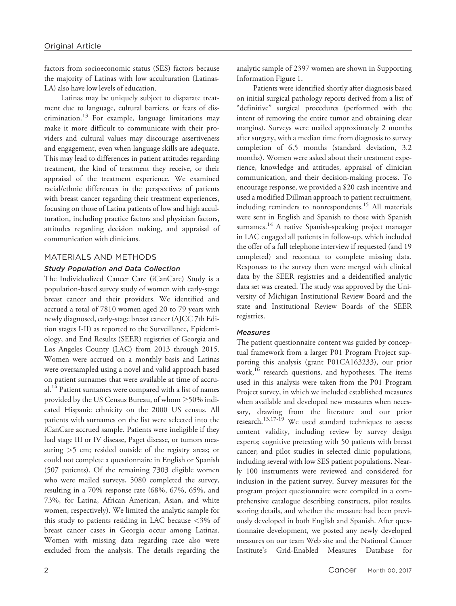factors from socioeconomic status (SES) factors because the majority of Latinas with low acculturation (Latinas-LA) also have low levels of education.

Latinas may be uniquely subject to disparate treatment due to language, cultural barriers, or fears of discrimination.<sup>13</sup> For example, language limitations may make it more difficult to communicate with their providers and cultural values may discourage assertiveness and engagement, even when language skills are adequate. This may lead to differences in patient attitudes regarding treatment, the kind of treatment they receive, or their appraisal of the treatment experience. We examined racial/ethnic differences in the perspectives of patients with breast cancer regarding their treatment experiences, focusing on those of Latina patients of low and high acculturation, including practice factors and physician factors, attitudes regarding decision making, and appraisal of communication with clinicians.

## MATERIALS AND METHODS

## Study Population and Data Collection

The Individualized Cancer Care (iCanCare) Study is a population-based survey study of women with early-stage breast cancer and their providers. We identified and accrued a total of 7810 women aged 20 to 79 years with newly diagnosed, early-stage breast cancer (AJCC 7th Edition stages I-II) as reported to the Surveillance, Epidemiology, and End Results (SEER) registries of Georgia and Los Angeles County (LAC) from 2013 through 2015. Women were accrued on a monthly basis and Latinas were oversampled using a novel and valid approach based on patient surnames that were available at time of accrual.<sup>14</sup> Patient surnames were compared with a list of names provided by the US Census Bureau, of whom  $\geq$ 50% indicated Hispanic ethnicity on the 2000 US census. All patients with surnames on the list were selected into the iCanCare accrued sample. Patients were ineligible if they had stage III or IV disease, Paget disease, or tumors measuring >5 cm; resided outside of the registry areas; or could not complete a questionnaire in English or Spanish (507 patients). Of the remaining 7303 eligible women who were mailed surveys, 5080 completed the survey, resulting in a 70% response rate (68%, 67%, 65%, and 73%, for Latina, African American, Asian, and white women, respectively). We limited the analytic sample for this study to patients residing in LAC because <3% of breast cancer cases in Georgia occur among Latinas. Women with missing data regarding race also were excluded from the analysis. The details regarding the analytic sample of 2397 women are shown in Supporting Information Figure 1.

Patients were identified shortly after diagnosis based on initial surgical pathology reports derived from a list of "definitive" surgical procedures (performed with the intent of removing the entire tumor and obtaining clear margins). Surveys were mailed approximately 2 months after surgery, with a median time from diagnosis to survey completion of 6.5 months (standard deviation, 3.2 months). Women were asked about their treatment experience, knowledge and attitudes, appraisal of clinician communication, and their decision-making process. To encourage response, we provided a \$20 cash incentive and used a modified Dillman approach to patient recruitment, including reminders to nonrespondents.<sup>15</sup> All materials were sent in English and Spanish to those with Spanish surnames. <sup>14</sup> A native Spanish-speaking project manager in LAC engaged all patients in follow-up, which included the offer of a full telephone interview if requested (and 19 completed) and recontact to complete missing data. Responses to the survey then were merged with clinical data by the SEER registries and a deidentified analytic data set was created. The study was approved by the University of Michigan Institutional Review Board and the state and Institutional Review Boards of the SEER registries.

#### **Measures**

The patient questionnaire content was guided by conceptual framework from a larger P01 Program Project supporting this analysis (grant P01CA163233), our prior work,<sup>16</sup> research questions, and hypotheses. The items used in this analysis were taken from the P01 Program Project survey, in which we included established measures when available and developed new measures when necessary, drawing from the literature and our prior research.<sup>13,17-19</sup> We used standard techniques to assess content validity, including review by survey design experts; cognitive pretesting with 50 patients with breast cancer; and pilot studies in selected clinic populations, including several with low SES patient populations. Nearly 100 instruments were reviewed and considered for inclusion in the patient survey. Survey measures for the program project questionnaire were compiled in a comprehensive catalogue describing constructs, pilot results, scoring details, and whether the measure had been previously developed in both English and Spanish. After questionnaire development, we posted any newly developed measures on our team Web site and the National Cancer Institute's Grid-Enabled Measures Database for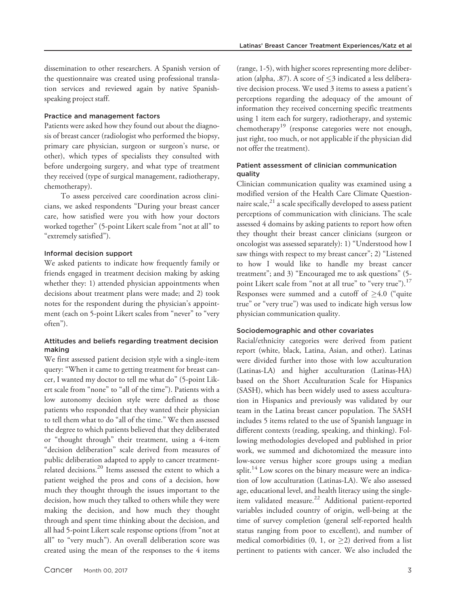dissemination to other researchers. A Spanish version of the questionnaire was created using professional translation services and reviewed again by native Spanishspeaking project staff.

#### Practice and management factors

Patients were asked how they found out about the diagnosis of breast cancer (radiologist who performed the biopsy, primary care physician, surgeon or surgeon's nurse, or other), which types of specialists they consulted with before undergoing surgery, and what type of treatment they received (type of surgical management, radiotherapy, chemotherapy).

To assess perceived care coordination across clinicians, we asked respondents "During your breast cancer care, how satisfied were you with how your doctors worked together" (5-point Likert scale from "not at all" to "extremely satisfied").

## Informal decision support

We asked patients to indicate how frequently family or friends engaged in treatment decision making by asking whether they: 1) attended physician appointments when decisions about treatment plans were made; and 2) took notes for the respondent during the physician's appointment (each on 5-point Likert scales from "never" to "very often").

## Attitudes and beliefs regarding treatment decision making

We first assessed patient decision style with a single-item query: "When it came to getting treatment for breast cancer, I wanted my doctor to tell me what do" (5-point Likert scale from "none" to "all of the time"). Patients with a low autonomy decision style were defined as those patients who responded that they wanted their physician to tell them what to do "all of the time." We then assessed the degree to which patients believed that they deliberated or "thought through" their treatment, using a 4-item "decision deliberation" scale derived from measures of public deliberation adapted to apply to cancer treatmentrelated decisions.<sup>20</sup> Items assessed the extent to which a patient weighed the pros and cons of a decision, how much they thought through the issues important to the decision, how much they talked to others while they were making the decision, and how much they thought through and spent time thinking about the decision, and all had 5-point Likert scale response options (from "not at all" to "very much"). An overall deliberation score was created using the mean of the responses to the 4 items

(range, 1-5), with higher scores representing more deliberation (alpha, .87). A score of  $\leq$ 3 indicated a less deliberative decision process. We used 3 items to assess a patient's perceptions regarding the adequacy of the amount of information they received concerning specific treatments using 1 item each for surgery, radiotherapy, and systemic chemotherapy<sup>19</sup> (response categories were not enough, just right, too much, or not applicable if the physician did not offer the treatment).

## Patient assessment of clinician communication quality

Clinician communication quality was examined using a modified version of the Health Care Climate Questionnaire scale, $^{21}$  a scale specifically developed to assess patient perceptions of communication with clinicians. The scale assessed 4 domains by asking patients to report how often they thought their breast cancer clinicians (surgeon or oncologist was assessed separately): 1) "Understood how I saw things with respect to my breast cancer"; 2) "Listened to how I would like to handle my breast cancer treatment"; and 3) "Encouraged me to ask questions" (5 point Likert scale from "not at all true" to "very true"). $^{17}$ Responses were summed and a cutoff of  $\geq 4.0$  ("quite true" or "very true") was used to indicate high versus low physician communication quality.

#### Sociodemographic and other covariates

Racial/ethnicity categories were derived from patient report (white, black, Latina, Asian, and other). Latinas were divided further into those with low acculturation (Latinas-LA) and higher acculturation (Latinas-HA) based on the Short Acculturation Scale for Hispanics (SASH), which has been widely used to assess acculturation in Hispanics and previously was validated by our team in the Latina breast cancer population. The SASH includes 5 items related to the use of Spanish language in different contexts (reading, speaking, and thinking). Following methodologies developed and published in prior work, we summed and dichotomized the measure into low-score versus higher score groups using a median split. $14$  Low scores on the binary measure were an indication of low acculturation (Latinas-LA). We also assessed age, educational level, and health literacy using the singleitem validated measure.<sup>22</sup> Additional patient-reported variables included country of origin, well-being at the time of survey completion (general self-reported health status ranging from poor to excellent), and number of medical comorbidities (0, 1, or  $\geq$ 2) derived from a list pertinent to patients with cancer. We also included the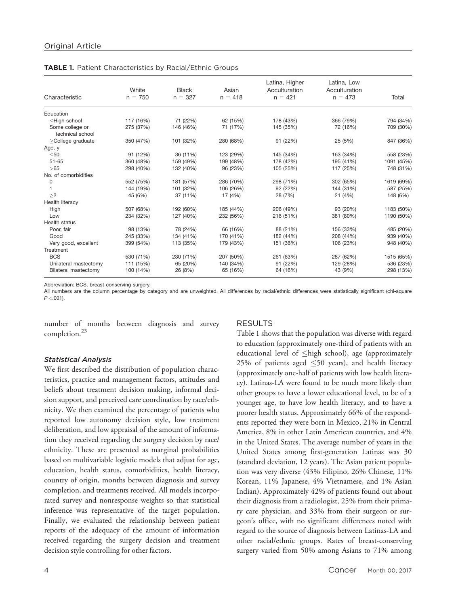|                                                                                                                                          |           |           |           | Latina, Higher | Latina, Low   |            |
|------------------------------------------------------------------------------------------------------------------------------------------|-----------|-----------|-----------|----------------|---------------|------------|
|                                                                                                                                          | White     | Black     | Asian     | Acculturation  | Acculturation |            |
| Characteristic                                                                                                                           | $n = 750$ | $n = 327$ | $n = 418$ | $n = 421$      | $n = 473$     | Total      |
| Education                                                                                                                                |           |           |           |                |               |            |
| <high school<="" td=""><td>117 (16%)</td><td>71 (22%)</td><td>62 (15%)</td><td>178 (43%)</td><td>366 (79%)</td><td>794 (34%)</td></high> | 117 (16%) | 71 (22%)  | 62 (15%)  | 178 (43%)      | 366 (79%)     | 794 (34%)  |
| Some college or<br>technical school                                                                                                      | 275 (37%) | 146 (46%) | 71 (17%)  | 145 (35%)      | 72 (16%)      | 709 (30%)  |
| >College graduate                                                                                                                        | 350 (47%) | 101 (32%) | 280 (68%) | 91 (22%)       | 25 (5%)       | 847 (36%)  |
| Age, y                                                                                                                                   |           |           |           |                |               |            |
| $50$                                                                                                                                     | 91 (12%)  | 36 (11%)  | 123 (29%) | 145 (34%)      | 163 (34%)     | 558 (23%)  |
| $51 - 65$                                                                                                                                | 360 (48%) | 159 (49%) | 199 (48%) | 178 (42%)      | 195 (41%)     | 1091 (45%) |
| >65                                                                                                                                      | 298 (40%) | 132 (40%) | 96 (23%)  | 105 (25%)      | 117 (25%)     | 748 (31%)  |
| No. of comorbidities                                                                                                                     |           |           |           |                |               |            |
| 0                                                                                                                                        | 552 (75%) | 181 (57%) | 286 (70%) | 298 (71%)      | 302 (65%)     | 1619 (69%) |
|                                                                                                                                          | 144 (19%) | 101 (32%) | 106 (26%) | 92 (22%)       | 144 (31%)     | 587 (25%)  |
| >2                                                                                                                                       | 45 (6%)   | 37 (11%)  | 17 (4%)   | 28 (7%)        | 21 (4%)       | 148 (6%)   |
| Health literacy                                                                                                                          |           |           |           |                |               |            |
| High                                                                                                                                     | 507 (68%) | 192 (60%) | 185 (44%) | 206 (49%)      | 93 (20%)      | 1183 (50%) |
| Low                                                                                                                                      | 234 (32%) | 127 (40%) | 232 (56%) | 216 (51%)      | 381 (80%)     | 1190 (50%) |
| <b>Health status</b>                                                                                                                     |           |           |           |                |               |            |
| Poor, fair                                                                                                                               | 98 (13%)  | 78 (24%)  | 66 (16%)  | 88 (21%)       | 156 (33%)     | 485 (20%)  |
| Good                                                                                                                                     | 245 (33%) | 134 (41%) | 170 (41%) | 182 (44%)      | 208 (44%)     | 939 (40%)  |
| Very good, excellent                                                                                                                     | 399 (54%) | 113 (35%) | 179 (43%) | 151 (36%)      | 106 (23%)     | 948 (40%)  |
| Treatment                                                                                                                                |           |           |           |                |               |            |
| <b>BCS</b>                                                                                                                               | 530 (71%) | 230 (71%) | 207 (50%) | 261 (63%)      | 287 (62%)     | 1515 (65%) |
| Unilateral mastectomy                                                                                                                    | 111 (15%) | 65 (20%)  | 140 (34%) | 91 (22%)       | 129 (28%)     | 536 (23%)  |
| Bilateral mastectomy                                                                                                                     | 100 (14%) | 26 (8%)   | 65 (16%)  | 64 (16%)       | 43 (9%)       | 298 (13%)  |

TABLE 1. Patient Characteristics by Racial/Ethnic Groups

Abbreviation: BCS, breast-conserving surgery.

All numbers are the column percentage by category and are unweighted. All differences by racial/ethnic differences were statistically significant (chi-square  $P < .001$ ).

number of months between diagnosis and survey completion.<sup>23</sup>

#### RESULTS

#### Statistical Analysis

We first described the distribution of population characteristics, practice and management factors, attitudes and beliefs about treatment decision making, informal decision support, and perceived care coordination by race/ethnicity. We then examined the percentage of patients who reported low autonomy decision style, low treatment deliberation, and low appraisal of the amount of information they received regarding the surgery decision by race/ ethnicity. These are presented as marginal probabilities based on multivariable logistic models that adjust for age, education, health status, comorbidities, health literacy, country of origin, months between diagnosis and survey completion, and treatments received. All models incorporated survey and nonresponse weights so that statistical inference was representative of the target population. Finally, we evaluated the relationship between patient reports of the adequacy of the amount of information received regarding the surgery decision and treatment decision style controlling for other factors.

to education (approximately one-third of patients with an educational level of  $\leq$ high school), age (approximately 25% of patients aged  $\leq$ 50 years), and health literacy (approximately one-half of patients with low health literacy). Latinas-LA were found to be much more likely than other groups to have a lower educational level, to be of a younger age, to have low health literacy, and to have a poorer health status. Approximately 66% of the respondents reported they were born in Mexico, 21% in Central America, 8% in other Latin American countries, and 4% in the United States. The average number of years in the United States among first-generation Latinas was 30 (standard deviation, 12 years). The Asian patient population was very diverse (43% Filipino, 26% Chinese, 11% Korean, 11% Japanese, 4% Vietnamese, and 1% Asian Indian). Approximately 42% of patients found out about their diagnosis from a radiologist, 25% from their primary care physician, and 33% from their surgeon or surgeon's office, with no significant differences noted with regard to the source of diagnosis between Latinas-LA and other racial/ethnic groups. Rates of breast-conserving surgery varied from 50% among Asians to 71% among

Table 1 shows that the population was diverse with regard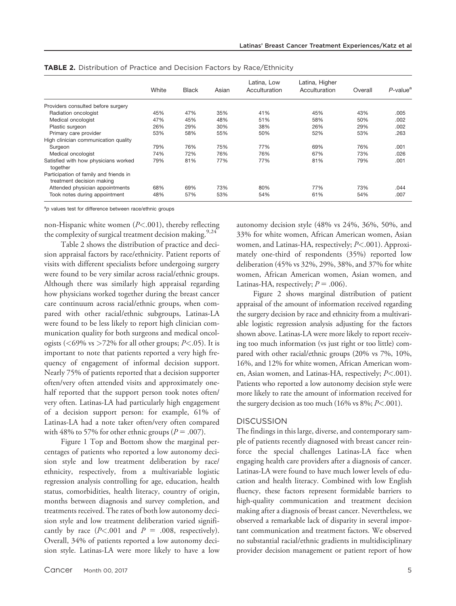|                                                                     | White | <b>Black</b> | Asian | Latina, Low<br>Acculturation | Latina, Higher<br>Acculturation | Overall | $P$ -value <sup>a</sup> |
|---------------------------------------------------------------------|-------|--------------|-------|------------------------------|---------------------------------|---------|-------------------------|
| Providers consulted before surgery                                  |       |              |       |                              |                                 |         |                         |
| Radiation oncologist                                                | 45%   | 47%          | 35%   | 41%                          | 45%                             | 43%     | .005                    |
| Medical oncologist                                                  | 47%   | 45%          | 48%   | 51%                          | 58%                             | 50%     | .002                    |
| Plastic surgeon                                                     | 26%   | 29%          | 30%   | 38%                          | 26%                             | 29%     | .002                    |
| Primary care provider                                               | 53%   | 58%          | 55%   | 50%                          | 52%                             | 53%     | .263                    |
| High clinician communication quality                                |       |              |       |                              |                                 |         |                         |
| Surgeon                                                             | 79%   | 76%          | 75%   | 77%                          | 69%                             | 76%     | .001                    |
| Medical oncologist                                                  | 74%   | 72%          | 76%   | 76%                          | 67%                             | 73%     | .026                    |
| Satisfied with how physicians worked<br>together                    | 79%   | 81%          | 77%   | 77%                          | 81%                             | 79%     | .001                    |
| Participation of family and friends in<br>treatment decision making |       |              |       |                              |                                 |         |                         |
| Attended physician appointments                                     | 68%   | 69%          | 73%   | 80%                          | 77%                             | 73%     | .044                    |
| Took notes during appointment                                       | 48%   | 57%          | 53%   | 54%                          | 61%                             | 54%     | .007                    |

TABLE 2. Distribution of Practice and Decision Factors by Race/Ethnicity

<sup>a</sup>p values test for difference between race/ethnic groups

non-Hispanic white women  $(P<.001)$ , thereby reflecting the complexity of surgical treatment decision making.  $9.24$ 

Table 2 shows the distribution of practice and decision appraisal factors by race/ethnicity. Patient reports of visits with different specialists before undergoing surgery were found to be very similar across racial/ethnic groups. Although there was similarly high appraisal regarding how physicians worked together during the breast cancer care continuum across racial/ethnic groups, when compared with other racial/ethnic subgroups, Latinas-LA were found to be less likely to report high clinician communication quality for both surgeons and medical oncologists ( $\langle 69\% \text{ vs } \rangle 72\%$  for all other groups; P $\langle 0.05 \rangle$ . It is important to note that patients reported a very high frequency of engagement of informal decision support. Nearly 75% of patients reported that a decision supporter often/very often attended visits and approximately onehalf reported that the support person took notes often/ very often. Latinas-LA had particularly high engagement of a decision support person: for example, 61% of Latinas-LA had a note taker often/very often compared with 48% to 57% for other ethnic groups ( $P = .007$ ).

Figure 1 Top and Bottom show the marginal percentages of patients who reported a low autonomy decision style and low treatment deliberation by race/ ethnicity, respectively, from a multivariable logistic regression analysis controlling for age, education, health status, comorbidities, health literacy, country of origin, months between diagnosis and survey completion, and treatments received. The rates of both low autonomy decision style and low treatment deliberation varied significantly by race  $(P<.001$  and  $P = .008$ , respectively). Overall, 34% of patients reported a low autonomy decision style. Latinas-LA were more likely to have a low autonomy decision style (48% vs 24%, 36%, 50%, and 33% for white women, African American women, Asian women, and Latinas-HA, respectively; P<.001). Approximately one-third of respondents (35%) reported low deliberation (45% vs 32%, 29%, 38%, and 37% for white women, African American women, Asian women, and Latinas-HA, respectively;  $P = .006$ ).

Figure 2 shows marginal distribution of patient appraisal of the amount of information received regarding the surgery decision by race and ethnicity from a multivariable logistic regression analysis adjusting for the factors shown above. Latinas-LA were more likely to report receiving too much information (vs just right or too little) compared with other racial/ethnic groups (20% vs 7%, 10%, 16%, and 12% for white women, African American women, Asian women, and Latinas-HA, respectively;  $P < .001$ ). Patients who reported a low autonomy decision style were more likely to rate the amount of information received for the surgery decision as too much  $(16\% \text{ vs } 8\%; P < .001)$ .

### **DISCUSSION**

The findings in this large, diverse, and contemporary sample of patients recently diagnosed with breast cancer reinforce the special challenges Latinas-LA face when engaging health care providers after a diagnosis of cancer. Latinas-LA were found to have much lower levels of education and health literacy. Combined with low English fluency, these factors represent formidable barriers to high-quality communication and treatment decision making after a diagnosis of breast cancer. Nevertheless, we observed a remarkable lack of disparity in several important communication and treatment factors. We observed no substantial racial/ethnic gradients in multidisciplinary provider decision management or patient report of how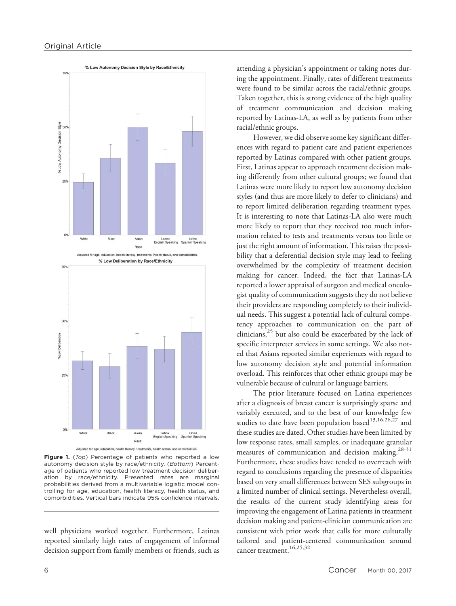



Figure 1. (Top) Percentage of patients who reported a low autonomy decision style by race/ethnicity. (Bottom) Percentage of patients who reported low treatment decision deliberation by race/ethnicity. Presented rates are marginal probabilities derived from a multivariable logistic model controlling for age, education, health literacy, health status, and comorbidities. Vertical bars indicate 95% confidence intervals.

well physicians worked together. Furthermore, Latinas reported similarly high rates of engagement of informal decision support from family members or friends, such as attending a physician's appointment or taking notes during the appointment. Finally, rates of different treatments were found to be similar across the racial/ethnic groups. Taken together, this is strong evidence of the high quality of treatment communication and decision making reported by Latinas-LA, as well as by patients from other racial/ethnic groups.

However, we did observe some key significant differences with regard to patient care and patient experiences reported by Latinas compared with other patient groups. First, Latinas appear to approach treatment decision making differently from other cultural groups; we found that Latinas were more likely to report low autonomy decision styles (and thus are more likely to defer to clinicians) and to report limited deliberation regarding treatment types. It is interesting to note that Latinas-LA also were much more likely to report that they received too much information related to tests and treatments versus too little or just the right amount of information. This raises the possibility that a deferential decision style may lead to feeling overwhelmed by the complexity of treatment decision making for cancer. Indeed, the fact that Latinas-LA reported a lower appraisal of surgeon and medical oncologist quality of communication suggests they do not believe their providers are responding completely to their individual needs. This suggest a potential lack of cultural competency approaches to communication on the part of clinicians, $^{25}$  but also could be exacerbated by the lack of specific interpreter services in some settings. We also noted that Asians reported similar experiences with regard to low autonomy decision style and potential information overload. This reinforces that other ethnic groups may be vulnerable because of cultural or language barriers.

The prior literature focused on Latina experiences after a diagnosis of breast cancer is surprisingly sparse and variably executed, and to the best of our knowledge few studies to date have been population based<sup>13,16,26,27</sup> and these studies are dated. Other studies have been limited by low response rates, small samples, or inadequate granular measures of communication and decision making.<sup>28-31</sup> Furthermore, these studies have tended to overreach with regard to conclusions regarding the presence of disparities based on very small differences between SES subgroups in a limited number of clinical settings. Nevertheless overall, the results of the current study identifying areas for improving the engagement of Latina patients in treatment decision making and patient-clinician communication are consistent with prior work that calls for more culturally tailored and patient-centered communication around cancer treatment.16,25,32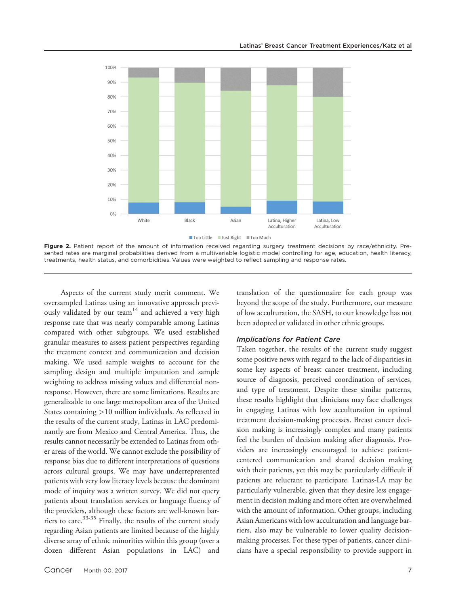

Figure 2. Patient report of the amount of information received regarding surgery treatment decisions by race/ethnicity. Presented rates are marginal probabilities derived from a multivariable logistic model controlling for age, education, health literacy, treatments, health status, and comorbidities. Values were weighted to reflect sampling and response rates.

Aspects of the current study merit comment. We oversampled Latinas using an innovative approach previously validated by our team<sup>14</sup> and achieved a very high response rate that was nearly comparable among Latinas compared with other subgroups. We used established granular measures to assess patient perspectives regarding the treatment context and communication and decision making. We used sample weights to account for the sampling design and multiple imputation and sample weighting to address missing values and differential nonresponse. However, there are some limitations. Results are generalizable to one large metropolitan area of the United States containing >10 million individuals. As reflected in the results of the current study, Latinas in LAC predominantly are from Mexico and Central America. Thus, the results cannot necessarily be extended to Latinas from other areas of the world. We cannot exclude the possibility of response bias due to different interpretations of questions across cultural groups. We may have underrepresented patients with very low literacy levels because the dominant mode of inquiry was a written survey. We did not query patients about translation services or language fluency of the providers, although these factors are well-known barriers to care.<sup>33-35</sup> Finally, the results of the current study regarding Asian patients are limited because of the highly diverse array of ethnic minorities within this group (over a dozen different Asian populations in LAC) and translation of the questionnaire for each group was beyond the scope of the study. Furthermore, our measure of low acculturation, the SASH, to our knowledge has not been adopted or validated in other ethnic groups.

#### Implications for Patient Care

Taken together, the results of the current study suggest some positive news with regard to the lack of disparities in some key aspects of breast cancer treatment, including source of diagnosis, perceived coordination of services, and type of treatment. Despite these similar patterns, these results highlight that clinicians may face challenges in engaging Latinas with low acculturation in optimal treatment decision-making processes. Breast cancer decision making is increasingly complex and many patients feel the burden of decision making after diagnosis. Providers are increasingly encouraged to achieve patientcentered communication and shared decision making with their patients, yet this may be particularly difficult if patients are reluctant to participate. Latinas-LA may be particularly vulnerable, given that they desire less engagement in decision making and more often are overwhelmed with the amount of information. Other groups, including Asian Americans with low acculturation and language barriers, also may be vulnerable to lower quality decisionmaking processes. For these types of patients, cancer clinicians have a special responsibility to provide support in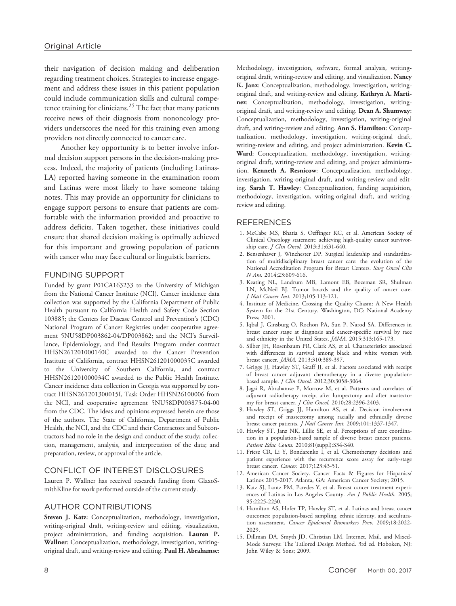their navigation of decision making and deliberation regarding treatment choices. Strategies to increase engagement and address these issues in this patient population could include communication skills and cultural competence training for clinicians. $^{25}$  The fact that many patients receive news of their diagnosis from nononcology providers underscores the need for this training even among providers not directly connected to cancer care.

Another key opportunity is to better involve informal decision support persons in the decision-making process. Indeed, the majority of patients (including Latinas-LA) reported having someone in the examination room and Latinas were most likely to have someone taking notes. This may provide an opportunity for clinicians to engage support persons to ensure that patients are comfortable with the information provided and proactive to address deficits. Taken together, these initiatives could ensure that shared decision making is optimally achieved for this important and growing population of patients with cancer who may face cultural or linguistic barriers.

#### FUNDING SUPPORT

Funded by grant P01CA163233 to the University of Michigan from the National Cancer Institute (NCI). Cancer incidence data collection was supported by the California Department of Public Health pursuant to California Health and Safety Code Section 103885; the Centers for Disease Control and Prevention's (CDC) National Program of Cancer Registries under cooperative agreement 5NU58DP003862-04/DP003862; and the NCI's Surveillance, Epidemiology, and End Results Program under contract HHSN261201000140C awarded to the Cancer Prevention Institute of California, contract HHSN261201000035C awarded to the University of Southern California, and contract HHSN261201000034C awarded to the Public Health Institute. Cancer incidence data collection in Georgia was supported by contract HHSN261201300015I, Task Order HHSN26100006 from the NCI, and cooperative agreement 5NU58DP003875-04-00 from the CDC. The ideas and opinions expressed herein are those of the authors. The State of California, Department of Public Health, the NCI, and the CDC and their Contractors and Subcontractors had no role in the design and conduct of the study; collection, management, analysis, and interpretation of the data; and preparation, review, or approval of the article.

## CONFLICT OF INTEREST DISCLOSURES

Lauren P. Wallner has received research funding from GlaxoSmithKline for work performed outside of the current study.

#### AUTHOR CONTRIBUTIONS

Steven J. Katz: Conceptualization, methodology, investigation, writing-original draft, writing-review and editing, visualization, project administration, and funding acquisition. Lauren P. Wallner: Conceptualization, methodology, investigation, writingoriginal draft, and writing-review and editing. Paul H. Abrahamse: Methodology, investigation, software, formal analysis, writingoriginal draft, writing-review and editing, and visualization. Nancy K. Janz: Conceptualization, methodology, investigation, writingoriginal draft, and writing-review and editing. Kathryn A. Martinez: Conceptualization, methodology, investigation, writingoriginal draft, and writing-review and editing. Dean A. Shumway: Conceptualization, methodology, investigation, writing-original draft, and writing-review and editing. Ann S. Hamilton: Conceptualization, methodology, investigation, writing-original draft, writing-review and editing, and project administration. Kevin C. Ward: Conceptualization, methodology, investigation, writingoriginal draft, writing-review and editing, and project administration. Kenneth A. Resnicow: Conceptualization, methodology, investigation, writing-original draft, and writing-review and editing. Sarah T. Hawley: Conceptualization, funding acquisition, methodology, investigation, writing-original draft, and writingreview and editing.

#### REFERENCES

- 1. McCabe MS, Bhatia S, Oeffinger KC, et al. American Society of Clinical Oncology statement: achieving high-quality cancer survivorship care. *J Clin Oncol.* 2013;31:631-640.
- 2. Bensenhaver J, Winchester DP. Surgical leadership and standardization of multidisciplinary breast cancer care: the evolution of the National Accreditation Program for Breast Centers. Surg Oncol Clin N Am. 2014;23:609-616.
- 3. Keating NL, Landrum MB, Lamont EB, Bozeman SR, Shulman LN, McNeil BJ. Tumor boards and the quality of cancer care. J Natl Cancer Inst. 2013;105:113-121.
- 4. Institute of Medicine. Crossing the Quality Chasm: A New Health System for the 21st Century. Washington, DC: National Academy Press; 2001.
- 5. Iqbal J, Ginsburg O, Rochon PA, Sun P, Narod SA. Differences in breast cancer stage at diagnosis and cancer-specific survival by race and ethnicity in the United States. JAMA. 2015;313:165-173.
- 6. Silber JH, Rosenbaum PR, Clark AS, et al. Characteristics associated with differences in survival among black and white women with breast cancer. JAMA. 2013;310:389-397.
- 7. Griggs JJ, Hawley ST, Graff JJ, et al. Factors associated with receipt of breast cancer adjuvant chemotherapy in a diverse populationbased sample. J Clin Oncol. 2012;30:3058-3064.
- 8. Jagsi R, Abrahamse P, Morrow M, et al. Patterns and correlates of adjuvant radiotherapy receipt after lumpectomy and after mastectomy for breast cancer. *J Clin Oncol.* 2010;28:2396-2403.
- 9. Hawley ST, Griggs JJ, Hamilton AS, et al. Decision involvement and receipt of mastectomy among racially and ethnically diverse breast cancer patients. J Natl Cancer Inst. 2009;101:1337-1347.
- 10. Hawley ST, Janz NK, Lillie SE, et al. Perceptions of care coordination in a population-based sample of diverse breast cancer patients. Patient Educ Couns. 2010;81(suppl):S34-S40.
- 11. Friese CR, Li Y, Bondarenko I, et al. Chemotherapy decisions and patient experience with the recurrence score assay for early-stage breast cancer. Cancer. 2017;123:43-51.
- 12. American Cancer Society. Cancer Facts & Figures for Hispanics/ Latinos 2015-2017. Atlanta, GA: American Cancer Society; 2015.
- 13. Katz SJ, Lantz PM, Paredes Y, et al. Breast cancer treatment experiences of Latinas in Los Angeles County. Am J Public Health. 2005; 95:2225-2230.
- 14. Hamilton AS, Hofer TP, Hawley ST, et al. Latinas and breast cancer outcomes: population-based sampling, ethnic identity, and acculturation assessment. Cancer Epidemiol Biomarkers Prev. 2009;18:2022- 2029.
- 15. Dillman DA, Smyth JD, Christian LM. Internet, Mail, and Mixed-Mode Surveys: The Tailored Design Method. 3rd ed. Hoboken, NJ: John Wiley & Sons; 2009.